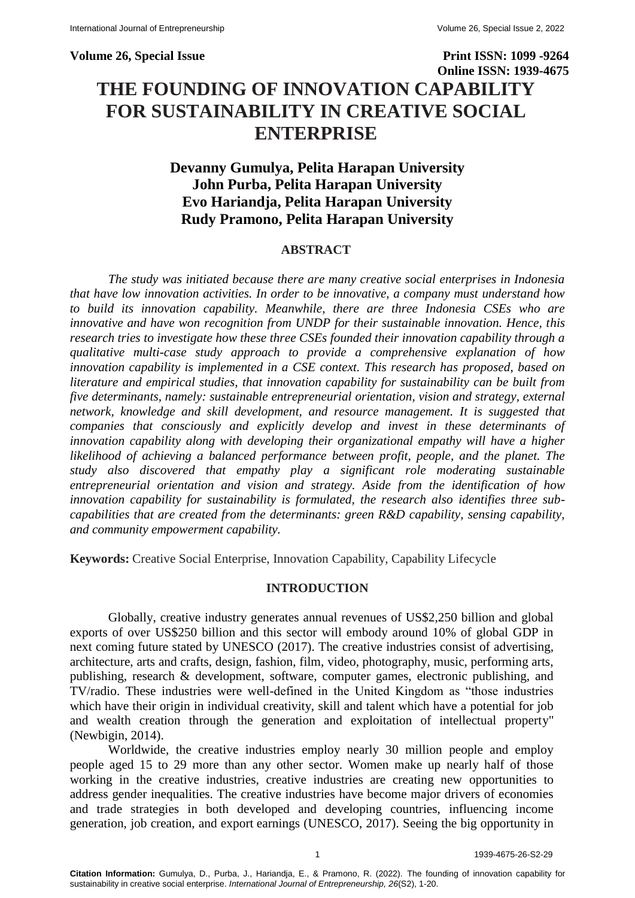**Volume 26, Special Issue Print ISSN: 1099 -9264 Online ISSN: 1939-4675 THE FOUNDING OF INNOVATION CAPABILITY FOR SUSTAINABILITY IN CREATIVE SOCIAL** 

# **Devanny Gumulya, Pelita Harapan University John Purba, Pelita Harapan University Evo Hariandja, Pelita Harapan University Rudy Pramono, Pelita Harapan University**

**ENTERPRISE** 

# **ABSTRACT**

*The study was initiated because there are many creative social enterprises in Indonesia that have low innovation activities. In order to be innovative, a company must understand how to build its innovation capability. Meanwhile, there are three Indonesia CSEs who are innovative and have won recognition from UNDP for their sustainable innovation. Hence, this research tries to investigate how these three CSEs founded their innovation capability through a qualitative multi-case study approach to provide a comprehensive explanation of how innovation capability is implemented in a CSE context. This research has proposed, based on literature and empirical studies, that innovation capability for sustainability can be built from five determinants, namely: sustainable entrepreneurial orientation, vision and strategy, external network, knowledge and skill development, and resource management. It is suggested that companies that consciously and explicitly develop and invest in these determinants of innovation capability along with developing their organizational empathy will have a higher likelihood of achieving a balanced performance between profit, people, and the planet. The study also discovered that empathy play a significant role moderating sustainable entrepreneurial orientation and vision and strategy. Aside from the identification of how innovation capability for sustainability is formulated, the research also identifies three subcapabilities that are created from the determinants: green R&D capability, sensing capability, and community empowerment capability.*

**Keywords:** Creative Social Enterprise, Innovation Capability, Capability Lifecycle

#### **INTRODUCTION**

Globally, creative industry generates annual revenues of US\$2,250 billion and global exports of over US\$250 billion and this sector will embody around 10% of global GDP in next coming future stated by UNESCO (2017). The creative industries consist of advertising, architecture, arts and crafts, design, fashion, film, video, photography, music, performing arts, publishing, research & development, software, computer games, electronic publishing, and TV/radio. These industries were well-defined in the United Kingdom as "those industries which have their origin in individual creativity, skill and talent which have a potential for job and wealth creation through the generation and exploitation of intellectual property" (Newbigin, 2014).

Worldwide, the creative industries employ nearly 30 million people and employ people aged 15 to 29 more than any other sector. Women make up nearly half of those working in the creative industries, creative industries are creating new opportunities to address gender inequalities. The creative industries have become major drivers of economies and trade strategies in both developed and developing countries, influencing income generation, job creation, and export earnings (UNESCO, 2017). Seeing the big opportunity in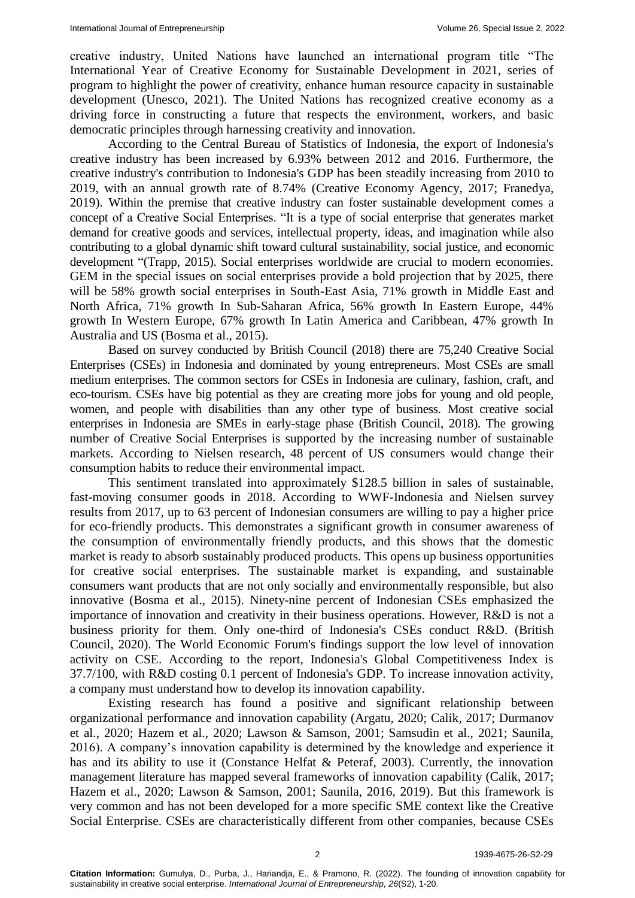creative industry, United Nations have launched an international program title "The International Year of Creative Economy for Sustainable Development in 2021, series of program to highlight the power of creativity, enhance human resource capacity in sustainable development (Unesco, 2021). The United Nations has recognized creative economy as a driving force in constructing a future that respects the environment, workers, and basic democratic principles through harnessing creativity and innovation.

According to the Central Bureau of Statistics of Indonesia, the export of Indonesia's creative industry has been increased by 6.93% between 2012 and 2016. Furthermore, the creative industry's contribution to Indonesia's GDP has been steadily increasing from 2010 to 2019, with an annual growth rate of 8.74% (Creative Economy Agency, 2017; Franedya, 2019). Within the premise that creative industry can foster sustainable development comes a concept of a Creative Social Enterprises. "It is a type of social enterprise that generates market demand for creative goods and services, intellectual property, ideas, and imagination while also contributing to a global dynamic shift toward cultural sustainability, social justice, and economic development "(Trapp, 2015). Social enterprises worldwide are crucial to modern economies. GEM in the special issues on social enterprises provide a bold projection that by 2025, there will be 58% growth social enterprises in South-East Asia, 71% growth in Middle East and North Africa, 71% growth In Sub-Saharan Africa, 56% growth In Eastern Europe, 44% growth In Western Europe, 67% growth In Latin America and Caribbean, 47% growth In Australia and US (Bosma et al., 2015).

Based on survey conducted by British Council (2018) there are 75,240 Creative Social Enterprises (CSEs) in Indonesia and dominated by young entrepreneurs. Most CSEs are small medium enterprises. The common sectors for CSEs in Indonesia are culinary, fashion, craft, and eco-tourism. CSEs have big potential as they are creating more jobs for young and old people, women, and people with disabilities than any other type of business. Most creative social enterprises in Indonesia are SMEs in early-stage phase (British Council, 2018). The growing number of Creative Social Enterprises is supported by the increasing number of sustainable markets. According to Nielsen research, 48 percent of US consumers would change their consumption habits to reduce their environmental impact.

This sentiment translated into approximately \$128.5 billion in sales of sustainable, fast-moving consumer goods in 2018. According to WWF-Indonesia and Nielsen survey results from 2017, up to 63 percent of Indonesian consumers are willing to pay a higher price for eco-friendly products. This demonstrates a significant growth in consumer awareness of the consumption of environmentally friendly products, and this shows that the domestic market is ready to absorb sustainably produced products. This opens up business opportunities for creative social enterprises. The sustainable market is expanding, and sustainable consumers want products that are not only socially and environmentally responsible, but also innovative (Bosma et al., 2015). Ninety-nine percent of Indonesian CSEs emphasized the importance of innovation and creativity in their business operations. However, R&D is not a business priority for them. Only one-third of Indonesia's CSEs conduct R&D. (British Council, 2020). The World Economic Forum's findings support the low level of innovation activity on CSE. According to the report, Indonesia's Global Competitiveness Index is 37.7/100, with R&D costing 0.1 percent of Indonesia's GDP. To increase innovation activity, a company must understand how to develop its innovation capability.

Existing research has found a positive and significant relationship between organizational performance and innovation capability (Argatu, 2020; Calik, 2017; Durmanov et al., 2020; Hazem et al., 2020; Lawson & Samson, 2001; Samsudin et al., 2021; Saunila, 2016). A company's innovation capability is determined by the knowledge and experience it has and its ability to use it (Constance Helfat & Peteraf, 2003). Currently, the innovation management literature has mapped several frameworks of innovation capability (Calik, 2017; Hazem et al., 2020; Lawson & Samson, 2001; Saunila, 2016, 2019). But this framework is very common and has not been developed for a more specific SME context like the Creative Social Enterprise. CSEs are characteristically different from other companies, because CSEs

2 1939-4675-26-S2-29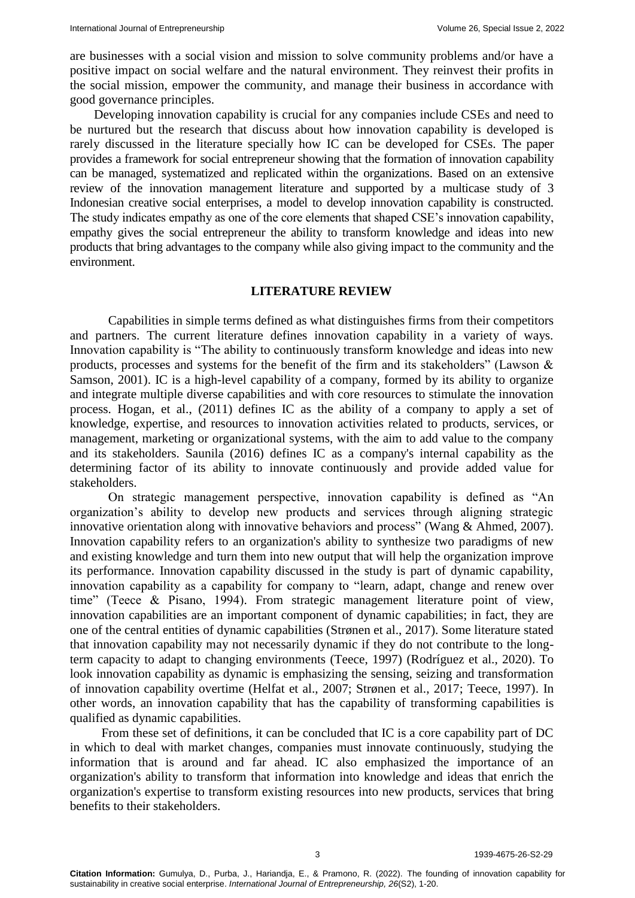are businesses with a social vision and mission to solve community problems and/or have a positive impact on social welfare and the natural environment. They reinvest their profits in the social mission, empower the community, and manage their business in accordance with good governance principles.

Developing innovation capability is crucial for any companies include CSEs and need to be nurtured but the research that discuss about how innovation capability is developed is rarely discussed in the literature specially how IC can be developed for CSEs. The paper provides a framework for social entrepreneur showing that the formation of innovation capability can be managed, systematized and replicated within the organizations. Based on an extensive review of the innovation management literature and supported by a multicase study of 3 Indonesian creative social enterprises, a model to develop innovation capability is constructed. The study indicates empathy as one of the core elements that shaped CSE's innovation capability, empathy gives the social entrepreneur the ability to transform knowledge and ideas into new products that bring advantages to the company while also giving impact to the community and the environment.

#### **LITERATURE REVIEW**

Capabilities in simple terms defined as what distinguishes firms from their competitors and partners. The current literature defines innovation capability in a variety of ways. Innovation capability is "The ability to continuously transform knowledge and ideas into new products, processes and systems for the benefit of the firm and its stakeholders" (Lawson & Samson, 2001). IC is a high-level capability of a company, formed by its ability to organize and integrate multiple diverse capabilities and with core resources to stimulate the innovation process. Hogan, et al., (2011) defines IC as the ability of a company to apply a set of knowledge, expertise, and resources to innovation activities related to products, services, or management, marketing or organizational systems, with the aim to add value to the company and its stakeholders. Saunila (2016) defines IC as a company's internal capability as the determining factor of its ability to innovate continuously and provide added value for stakeholders.

On strategic management perspective, innovation capability is defined as "An organization's ability to develop new products and services through aligning strategic innovative orientation along with innovative behaviors and process" (Wang & Ahmed, 2007). Innovation capability refers to an organization's ability to synthesize two paradigms of new and existing knowledge and turn them into new output that will help the organization improve its performance. Innovation capability discussed in the study is part of dynamic capability, innovation capability as a capability for company to "learn, adapt, change and renew over time" (Teece & Pisano, 1994). From strategic management literature point of view, innovation capabilities are an important component of dynamic capabilities; in fact, they are one of the central entities of dynamic capabilities (Strønen et al., 2017). Some literature stated that innovation capability may not necessarily dynamic if they do not contribute to the longterm capacity to adapt to changing environments (Teece, 1997) (Rodríguez et al., 2020). To look innovation capability as dynamic is emphasizing the sensing, seizing and transformation of innovation capability overtime (Helfat et al., 2007; Strønen et al., 2017; Teece, 1997). In other words, an innovation capability that has the capability of transforming capabilities is qualified as dynamic capabilities.

From these set of definitions, it can be concluded that IC is a core capability part of DC in which to deal with market changes, companies must innovate continuously, studying the information that is around and far ahead. IC also emphasized the importance of an organization's ability to transform that information into knowledge and ideas that enrich the organization's expertise to transform existing resources into new products, services that bring benefits to their stakeholders.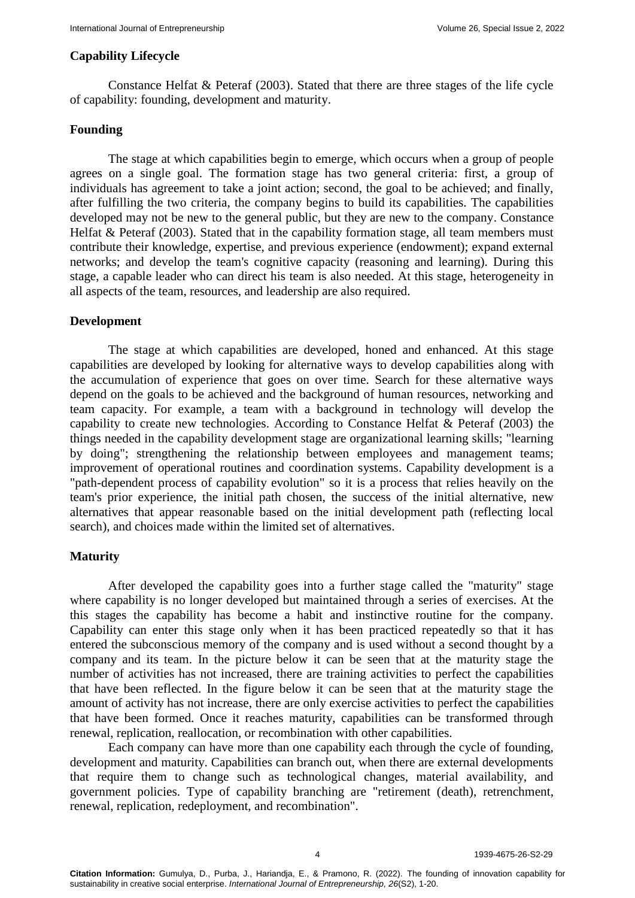## **Capability Lifecycle**

Constance Helfat & Peteraf (2003). Stated that there are three stages of the life cycle of capability: founding, development and maturity.

# **Founding**

The stage at which capabilities begin to emerge, which occurs when a group of people agrees on a single goal. The formation stage has two general criteria: first, a group of individuals has agreement to take a joint action; second, the goal to be achieved; and finally, after fulfilling the two criteria, the company begins to build its capabilities. The capabilities developed may not be new to the general public, but they are new to the company. Constance Helfat & Peteraf (2003). Stated that in the capability formation stage, all team members must contribute their knowledge, expertise, and previous experience (endowment); expand external networks; and develop the team's cognitive capacity (reasoning and learning). During this stage, a capable leader who can direct his team is also needed. At this stage, heterogeneity in all aspects of the team, resources, and leadership are also required.

## **Development**

The stage at which capabilities are developed, honed and enhanced. At this stage capabilities are developed by looking for alternative ways to develop capabilities along with the accumulation of experience that goes on over time. Search for these alternative ways depend on the goals to be achieved and the background of human resources, networking and team capacity. For example, a team with a background in technology will develop the capability to create new technologies. According to Constance Helfat & Peteraf (2003) the things needed in the capability development stage are organizational learning skills; "learning by doing"; strengthening the relationship between employees and management teams; improvement of operational routines and coordination systems. Capability development is a "path-dependent process of capability evolution" so it is a process that relies heavily on the team's prior experience, the initial path chosen, the success of the initial alternative, new alternatives that appear reasonable based on the initial development path (reflecting local search), and choices made within the limited set of alternatives.

# **Maturity**

After developed the capability goes into a further stage called the "maturity" stage where capability is no longer developed but maintained through a series of exercises. At the this stages the capability has become a habit and instinctive routine for the company. Capability can enter this stage only when it has been practiced repeatedly so that it has entered the subconscious memory of the company and is used without a second thought by a company and its team. In the picture below it can be seen that at the maturity stage the number of activities has not increased, there are training activities to perfect the capabilities that have been reflected. In the figure below it can be seen that at the maturity stage the amount of activity has not increase, there are only exercise activities to perfect the capabilities that have been formed. Once it reaches maturity, capabilities can be transformed through renewal, replication, reallocation, or recombination with other capabilities.

Each company can have more than one capability each through the cycle of founding, development and maturity. Capabilities can branch out, when there are external developments that require them to change such as technological changes, material availability, and government policies. Type of capability branching are "retirement (death), retrenchment, renewal, replication, redeployment, and recombination".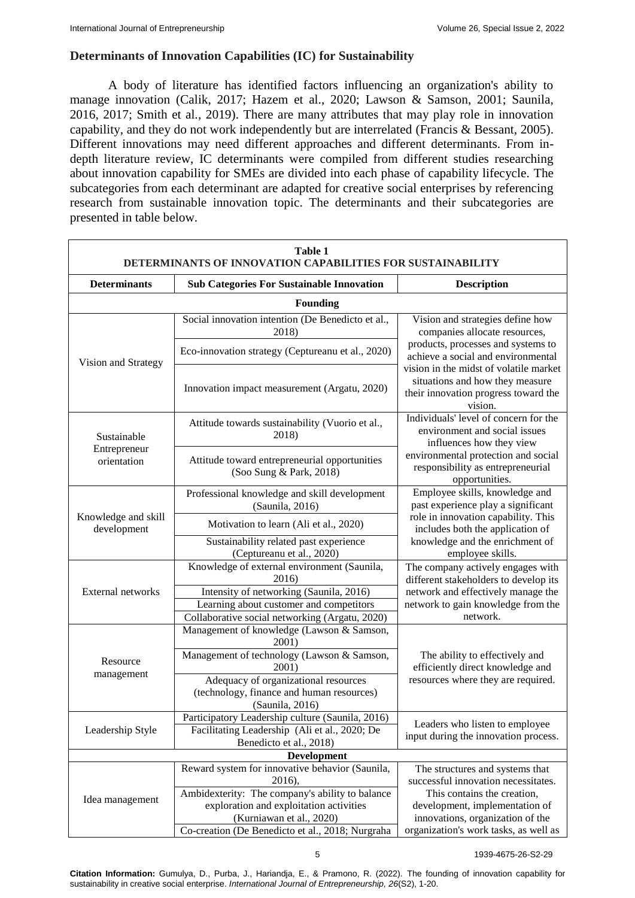# **Determinants of Innovation Capabilities (IC) for Sustainability**

A body of literature has identified factors influencing an organization's ability to manage innovation (Calik, 2017; Hazem et al., 2020; Lawson & Samson, 2001; Saunila, 2016, 2017; Smith et al., 2019). There are many attributes that may play role in innovation capability, and they do not work independently but are interrelated (Francis & Bessant, 2005). Different innovations may need different approaches and different determinants. From indepth literature review, IC determinants were compiled from different studies researching about innovation capability for SMEs are divided into each phase of capability lifecycle. The subcategories from each determinant are adapted for creative social enterprises by referencing research from sustainable innovation topic. The determinants and their subcategories are presented in table below.

| <b>Table 1</b><br>DETERMINANTS OF INNOVATION CAPABILITIES FOR SUSTAINABILITY |                                                                                             |                                                                                                                              |  |  |
|------------------------------------------------------------------------------|---------------------------------------------------------------------------------------------|------------------------------------------------------------------------------------------------------------------------------|--|--|
| <b>Determinants</b>                                                          | <b>Sub Categories For Sustainable Innovation</b>                                            | <b>Description</b>                                                                                                           |  |  |
|                                                                              | <b>Founding</b>                                                                             |                                                                                                                              |  |  |
|                                                                              | Social innovation intention (De Benedicto et al.,<br>2018)                                  | Vision and strategies define how<br>companies allocate resources,                                                            |  |  |
| Vision and Strategy                                                          | Eco-innovation strategy (Ceptureanu et al., 2020)                                           | products, processes and systems to<br>achieve a social and environmental                                                     |  |  |
|                                                                              | Innovation impact measurement (Argatu, 2020)                                                | vision in the midst of volatile market<br>situations and how they measure<br>their innovation progress toward the<br>vision. |  |  |
| Sustainable                                                                  | Attitude towards sustainability (Vuorio et al.,<br>2018)                                    | Individuals' level of concern for the<br>environment and social issues<br>influences how they view                           |  |  |
| Entrepreneur<br>orientation                                                  | Attitude toward entrepreneurial opportunities<br>(Soo Sung & Park, 2018)                    | environmental protection and social<br>responsibility as entrepreneurial<br>opportunities.                                   |  |  |
|                                                                              | Professional knowledge and skill development<br>(Saunila, 2016)                             | Employee skills, knowledge and<br>past experience play a significant                                                         |  |  |
| Knowledge and skill<br>development                                           | Motivation to learn (Ali et al., 2020)                                                      | role in innovation capability. This<br>includes both the application of                                                      |  |  |
|                                                                              | Sustainability related past experience<br>(Ceptureanu et al., 2020)                         | knowledge and the enrichment of<br>employee skills.                                                                          |  |  |
|                                                                              | Knowledge of external environment (Saunila,<br>2016)                                        | The company actively engages with<br>different stakeholders to develop its                                                   |  |  |
| External networks                                                            | Intensity of networking (Saunila, 2016)                                                     | network and effectively manage the                                                                                           |  |  |
|                                                                              | Learning about customer and competitors                                                     | network to gain knowledge from the<br>network.                                                                               |  |  |
|                                                                              | Collaborative social networking (Argatu, 2020)<br>Management of knowledge (Lawson & Samson, |                                                                                                                              |  |  |
|                                                                              | 2001)                                                                                       |                                                                                                                              |  |  |
| Resource                                                                     | Management of technology (Lawson & Samson,<br>2001)                                         | The ability to effectively and<br>efficiently direct knowledge and                                                           |  |  |
| management                                                                   | Adequacy of organizational resources                                                        | resources where they are required.                                                                                           |  |  |
|                                                                              | (technology, finance and human resources)                                                   |                                                                                                                              |  |  |
|                                                                              | (Saunila, 2016)                                                                             |                                                                                                                              |  |  |
|                                                                              | Participatory Leadership culture (Saunila, 2016)                                            | Leaders who listen to employee                                                                                               |  |  |
| Leadership Style                                                             | Facilitating Leadership (Ali et al., 2020; De<br>Benedicto et al., 2018)                    | input during the innovation process.                                                                                         |  |  |
| <b>Development</b>                                                           |                                                                                             |                                                                                                                              |  |  |
|                                                                              | Reward system for innovative behavior (Saunila,                                             | The structures and systems that                                                                                              |  |  |
|                                                                              | 2016),                                                                                      | successful innovation necessitates.                                                                                          |  |  |
| Idea management                                                              | Ambidexterity: The company's ability to balance<br>exploration and exploitation activities  | This contains the creation,<br>development, implementation of                                                                |  |  |
|                                                                              | (Kurniawan et al., 2020)                                                                    | innovations, organization of the                                                                                             |  |  |
|                                                                              | Co-creation (De Benedicto et al., 2018; Nurgraha                                            | organization's work tasks, as well as                                                                                        |  |  |

**Citation Information:** Gumulya, D., Purba, J., Hariandja, E., & Pramono, R. (2022). The founding of innovation capability for sustainability in creative social enterprise. *International Journal of Entrepreneurship, 26*(S2), 1-20.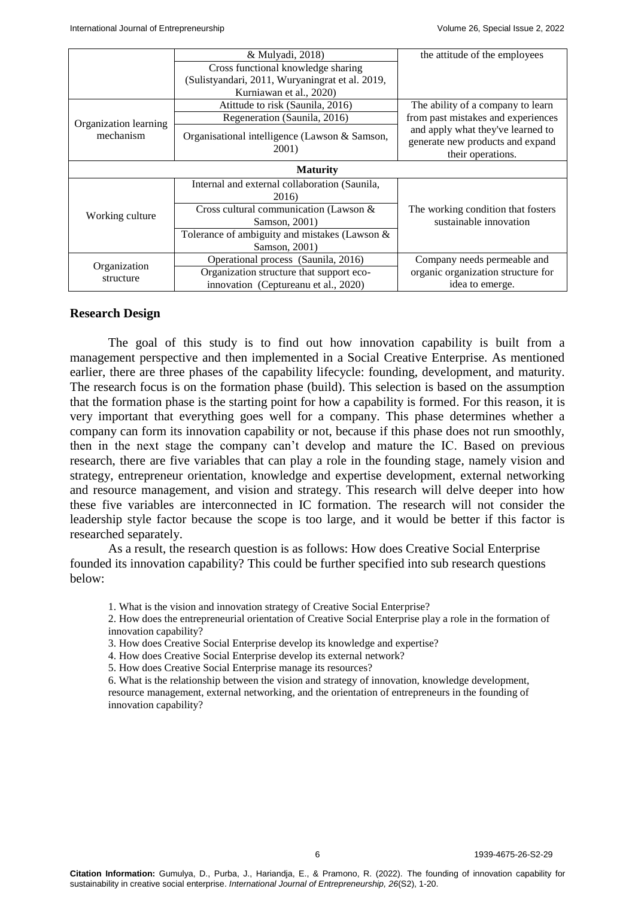|                                    | & Mulyadi, 2018)                                               | the attitude of the employees                                                              |  |
|------------------------------------|----------------------------------------------------------------|--------------------------------------------------------------------------------------------|--|
|                                    | Cross functional knowledge sharing                             |                                                                                            |  |
|                                    | (Sulistyandari, 2011, Wuryaningrat et al. 2019,                |                                                                                            |  |
|                                    | Kurniawan et al., 2020)                                        |                                                                                            |  |
|                                    | Atitude to risk (Saunila, 2016)                                | The ability of a company to learn                                                          |  |
|                                    | Regeneration (Saunila, 2016)                                   | from past mistakes and experiences                                                         |  |
| Organization learning<br>mechanism | Organisational intelligence (Lawson & Samson,<br><b>2001</b> ) | and apply what they've learned to<br>generate new products and expand<br>their operations. |  |
| <b>Maturity</b>                    |                                                                |                                                                                            |  |
|                                    | Internal and external collaboration (Saunila,                  |                                                                                            |  |
|                                    | 2016)                                                          |                                                                                            |  |
| Working culture                    | Cross cultural communication (Lawson $\&$                      | The working condition that fosters                                                         |  |
|                                    | Samson, 2001)                                                  | sustainable innovation                                                                     |  |
|                                    | Tolerance of ambiguity and mistakes (Lawson $\&$               |                                                                                            |  |
|                                    | Samson, 2001)                                                  |                                                                                            |  |
| Organization<br>structure          | Operational process (Saunila, 2016)                            | Company needs permeable and                                                                |  |
|                                    | Organization structure that support eco-                       | organic organization structure for                                                         |  |
|                                    | innovation (Ceptureanu et al., 2020)                           | idea to emerge.                                                                            |  |

#### **Research Design**

The goal of this study is to find out how innovation capability is built from a management perspective and then implemented in a Social Creative Enterprise. As mentioned earlier, there are three phases of the capability lifecycle: founding, development, and maturity. The research focus is on the formation phase (build). This selection is based on the assumption that the formation phase is the starting point for how a capability is formed. For this reason, it is very important that everything goes well for a company. This phase determines whether a company can form its innovation capability or not, because if this phase does not run smoothly, then in the next stage the company can't develop and mature the IC. Based on previous research, there are five variables that can play a role in the founding stage, namely vision and strategy, entrepreneur orientation, knowledge and expertise development, external networking and resource management, and vision and strategy. This research will delve deeper into how these five variables are interconnected in IC formation. The research will not consider the leadership style factor because the scope is too large, and it would be better if this factor is researched separately.

As a result, the research question is as follows: How does Creative Social Enterprise founded its innovation capability? This could be further specified into sub research questions below:

- 1. What is the vision and innovation strategy of Creative Social Enterprise?
- 2. How does the entrepreneurial orientation of Creative Social Enterprise play a role in the formation of innovation capability?
- 3. How does Creative Social Enterprise develop its knowledge and expertise?
- 4. How does Creative Social Enterprise develop its external network?
- 5. How does Creative Social Enterprise manage its resources?
- 6. What is the relationship between the vision and strategy of innovation, knowledge development, resource management, external networking, and the orientation of entrepreneurs in the founding of innovation capability?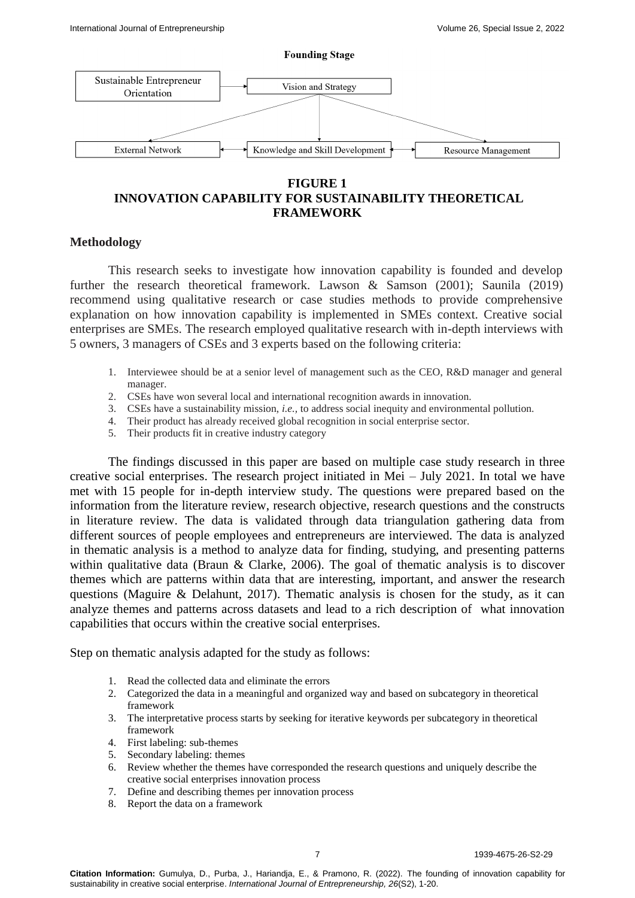

# **FIGURE 1 INNOVATION CAPABILITY FOR SUSTAINABILITY THEORETICAL FRAMEWORK**

## **Methodology**

This research seeks to investigate how innovation capability is founded and develop further the research theoretical framework. Lawson & Samson (2001); Saunila (2019) recommend using qualitative research or case studies methods to provide comprehensive explanation on how innovation capability is implemented in SMEs context. Creative social enterprises are SMEs. The research employed qualitative research with in-depth interviews with 5 owners, 3 managers of CSEs and 3 experts based on the following criteria:

- 1. Interviewee should be at a senior level of management such as the CEO, R&D manager and general manager.
- 2. CSEs have won several local and international recognition awards in innovation.
- 3. CSEs have a sustainability mission, *i.e.,* to address social inequity and environmental pollution.
- 4. Their product has already received global recognition in social enterprise sector.
- 5. Their products fit in creative industry category

The findings discussed in this paper are based on multiple case study research in three creative social enterprises. The research project initiated in Mei – July 2021. In total we have met with 15 people for in-depth interview study. The questions were prepared based on the information from the literature review, research objective, research questions and the constructs in literature review. The data is validated through data triangulation gathering data from different sources of people employees and entrepreneurs are interviewed. The data is analyzed in thematic analysis is a method to analyze data for finding, studying, and presenting patterns within qualitative data (Braun & Clarke, 2006). The goal of thematic analysis is to discover themes which are patterns within data that are interesting, important, and answer the research questions (Maguire & Delahunt, 2017). Thematic analysis is chosen for the study, as it can analyze themes and patterns across datasets and lead to a rich description of what innovation capabilities that occurs within the creative social enterprises.

Step on thematic analysis adapted for the study as follows:

- 1. Read the collected data and eliminate the errors
- 2. Categorized the data in a meaningful and organized way and based on subcategory in theoretical framework
- 3. The interpretative process starts by seeking for iterative keywords per subcategory in theoretical framework
- 4. First labeling: sub-themes
- 5. Secondary labeling: themes
- 6. Review whether the themes have corresponded the research questions and uniquely describe the creative social enterprises innovation process
- 7. Define and describing themes per innovation process
- 8. Report the data on a framework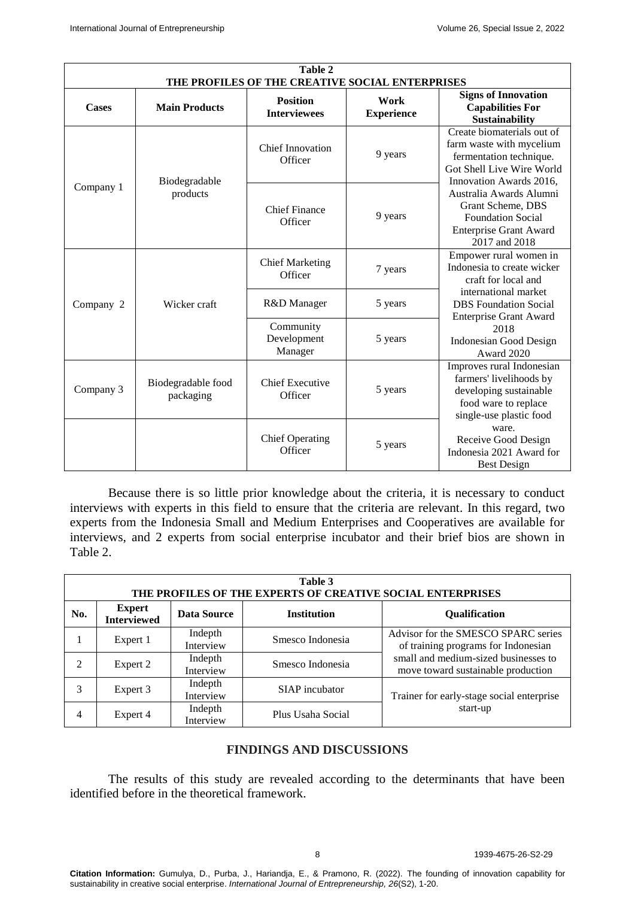| Table 2<br>THE PROFILES OF THE CREATIVE SOCIAL ENTERPRISES |                                 |                                        |                           |                                                                                                                                           |  |
|------------------------------------------------------------|---------------------------------|----------------------------------------|---------------------------|-------------------------------------------------------------------------------------------------------------------------------------------|--|
| Cases                                                      | <b>Main Products</b>            | <b>Position</b><br><b>Interviewees</b> | Work<br><b>Experience</b> | <b>Signs of Innovation</b><br><b>Capabilities For</b><br><b>Sustainability</b>                                                            |  |
|                                                            | Biodegradable                   | <b>Chief Innovation</b><br>Officer     | 9 years                   | Create biomaterials out of<br>farm waste with mycelium<br>fermentation technique.<br>Got Shell Live Wire World<br>Innovation Awards 2016, |  |
| Company 1                                                  | products                        | <b>Chief Finance</b><br>Officer        | 9 years                   | Australia Awards Alumni<br>Grant Scheme, DBS<br><b>Foundation Social</b><br><b>Enterprise Grant Award</b><br>2017 and 2018                |  |
|                                                            |                                 | <b>Chief Marketing</b><br>Officer      | 7 years                   | Empower rural women in<br>Indonesia to create wicker<br>craft for local and                                                               |  |
| Company 2                                                  | Wicker craft                    | R&D Manager                            | 5 years                   | international market<br><b>DBS</b> Foundation Social<br><b>Enterprise Grant Award</b>                                                     |  |
|                                                            |                                 | Community<br>Development<br>Manager    | 5 years                   | 2018<br><b>Indonesian Good Design</b><br><b>Award 2020</b>                                                                                |  |
| Company 3                                                  | Biodegradable food<br>packaging | <b>Chief Executive</b><br>Officer      | 5 years                   | Improves rural Indonesian<br>farmers' livelihoods by<br>developing sustainable<br>food ware to replace<br>single-use plastic food         |  |
|                                                            |                                 | <b>Chief Operating</b><br>Officer      | 5 years                   | ware.<br>Receive Good Design<br>Indonesia 2021 Award for<br><b>Best Design</b>                                                            |  |

Because there is so little prior knowledge about the criteria, it is necessary to conduct interviews with experts in this field to ensure that the criteria are relevant. In this regard, two experts from the Indonesia Small and Medium Enterprises and Cooperatives are available for interviews, and 2 experts from social enterprise incubator and their brief bios are shown in Table 2.

| Table 3<br>THE PROFILES OF THE EXPERTS OF CREATIVE SOCIAL ENTERPRISES |                                     |                      |                    |                                                                            |  |
|-----------------------------------------------------------------------|-------------------------------------|----------------------|--------------------|----------------------------------------------------------------------------|--|
| No.                                                                   | <b>Expert</b><br><b>Interviewed</b> | Data Source          | <b>Institution</b> | <b>Oualification</b>                                                       |  |
|                                                                       | Expert 1                            | Indepth<br>Interview | Smesco Indonesia   | Advisor for the SMESCO SPARC series<br>of training programs for Indonesian |  |
| 2                                                                     | Expert 2                            | Indepth<br>Interview | Smesco Indonesia   | small and medium-sized businesses to<br>move toward sustainable production |  |
| 3                                                                     | Expert 3                            | Indepth<br>Interview | SIAP incubator     | Trainer for early-stage social enterprise                                  |  |
| 4                                                                     | Expert 4                            | Indepth<br>Interview | Plus Usaha Social  | start-up                                                                   |  |

# **FINDINGS AND DISCUSSIONS**

The results of this study are revealed according to the determinants that have been identified before in the theoretical framework.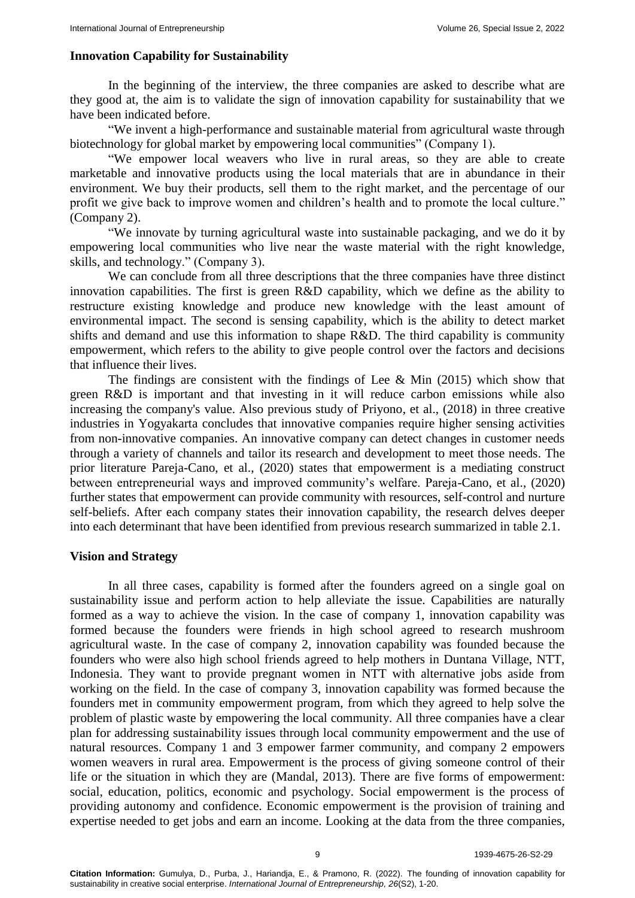#### **Innovation Capability for Sustainability**

In the beginning of the interview, the three companies are asked to describe what are they good at, the aim is to validate the sign of innovation capability for sustainability that we have been indicated before.

"We invent a high-performance and sustainable material from agricultural waste through biotechnology for global market by empowering local communities" (Company 1).

"We empower local weavers who live in rural areas, so they are able to create marketable and innovative products using the local materials that are in abundance in their environment. We buy their products, sell them to the right market, and the percentage of our profit we give back to improve women and children's health and to promote the local culture." (Company 2).

"We innovate by turning agricultural waste into sustainable packaging, and we do it by empowering local communities who live near the waste material with the right knowledge, skills, and technology." (Company 3).

We can conclude from all three descriptions that the three companies have three distinct innovation capabilities. The first is green R&D capability, which we define as the ability to restructure existing knowledge and produce new knowledge with the least amount of environmental impact. The second is sensing capability, which is the ability to detect market shifts and demand and use this information to shape R&D. The third capability is community empowerment, which refers to the ability to give people control over the factors and decisions that influence their lives.

The findings are consistent with the findings of Lee  $\&$  Min (2015) which show that green R&D is important and that investing in it will reduce carbon emissions while also increasing the company's value. Also previous study of Priyono, et al., (2018) in three creative industries in Yogyakarta concludes that innovative companies require higher sensing activities from non-innovative companies. An innovative company can detect changes in customer needs through a variety of channels and tailor its research and development to meet those needs. The prior literature Pareja-Cano, et al., (2020) states that empowerment is a mediating construct between entrepreneurial ways and improved community's welfare. Pareja-Cano, et al., (2020) further states that empowerment can provide community with resources, self-control and nurture self-beliefs. After each company states their innovation capability, the research delves deeper into each determinant that have been identified from previous research summarized in table 2.1.

#### **Vision and Strategy**

In all three cases, capability is formed after the founders agreed on a single goal on sustainability issue and perform action to help alleviate the issue. Capabilities are naturally formed as a way to achieve the vision. In the case of company 1, innovation capability was formed because the founders were friends in high school agreed to research mushroom agricultural waste. In the case of company 2, innovation capability was founded because the founders who were also high school friends agreed to help mothers in Duntana Village, NTT, Indonesia. They want to provide pregnant women in NTT with alternative jobs aside from working on the field. In the case of company 3, innovation capability was formed because the founders met in community empowerment program, from which they agreed to help solve the problem of plastic waste by empowering the local community. All three companies have a clear plan for addressing sustainability issues through local community empowerment and the use of natural resources. Company 1 and 3 empower farmer community, and company 2 empowers women weavers in rural area. Empowerment is the process of giving someone control of their life or the situation in which they are (Mandal, 2013). There are five forms of empowerment: social, education, politics, economic and psychology. Social empowerment is the process of providing autonomy and confidence. Economic empowerment is the provision of training and expertise needed to get jobs and earn an income. Looking at the data from the three companies,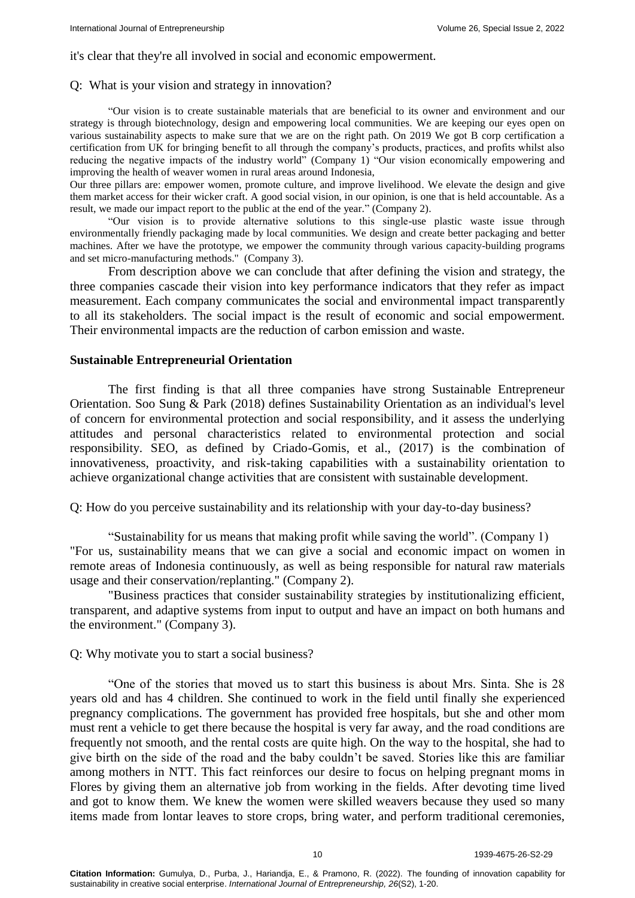#### it's clear that they're all involved in social and economic empowerment.

#### Q: What is your vision and strategy in innovation?

"Our vision is to create sustainable materials that are beneficial to its owner and environment and our strategy is through biotechnology, design and empowering local communities. We are keeping our eyes open on various sustainability aspects to make sure that we are on the right path. On 2019 We got B corp certification a certification from UK for bringing benefit to all through the company's products, practices, and profits whilst also reducing the negative impacts of the industry world" (Company 1) "Our vision economically empowering and improving the health of weaver women in rural areas around Indonesia,

Our three pillars are: empower women, promote culture, and improve livelihood. We elevate the design and give them market access for their wicker craft. A good social vision, in our opinion, is one that is held accountable. As a result, we made our impact report to the public at the end of the year." (Company 2).

"Our vision is to provide alternative solutions to this single-use plastic waste issue through environmentally friendly packaging made by local communities. We design and create better packaging and better machines. After we have the prototype, we empower the community through various capacity-building programs and set micro-manufacturing methods." (Company 3).

From description above we can conclude that after defining the vision and strategy, the three companies cascade their vision into key performance indicators that they refer as impact measurement. Each company communicates the social and environmental impact transparently to all its stakeholders. The social impact is the result of economic and social empowerment. Their environmental impacts are the reduction of carbon emission and waste.

## **Sustainable Entrepreneurial Orientation**

The first finding is that all three companies have strong Sustainable Entrepreneur Orientation. Soo Sung & Park (2018) defines Sustainability Orientation as an individual's level of concern for environmental protection and social responsibility, and it assess the underlying attitudes and personal characteristics related to environmental protection and social responsibility. SEO, as defined by Criado-Gomis, et al., (2017) is the combination of innovativeness, proactivity, and risk-taking capabilities with a sustainability orientation to achieve organizational change activities that are consistent with sustainable development.

Q: How do you perceive sustainability and its relationship with your day-to-day business?

"Sustainability for us means that making profit while saving the world". (Company 1) "For us, sustainability means that we can give a social and economic impact on women in remote areas of Indonesia continuously, as well as being responsible for natural raw materials usage and their conservation/replanting." (Company 2).

"Business practices that consider sustainability strategies by institutionalizing efficient, transparent, and adaptive systems from input to output and have an impact on both humans and the environment." (Company 3).

#### Q: Why motivate you to start a social business?

"One of the stories that moved us to start this business is about Mrs. Sinta. She is 28 years old and has 4 children. She continued to work in the field until finally she experienced pregnancy complications. The government has provided free hospitals, but she and other mom must rent a vehicle to get there because the hospital is very far away, and the road conditions are frequently not smooth, and the rental costs are quite high. On the way to the hospital, she had to give birth on the side of the road and the baby couldn't be saved. Stories like this are familiar among mothers in NTT. This fact reinforces our desire to focus on helping pregnant moms in Flores by giving them an alternative job from working in the fields. After devoting time lived and got to know them. We knew the women were skilled weavers because they used so many items made from lontar leaves to store crops, bring water, and perform traditional ceremonies,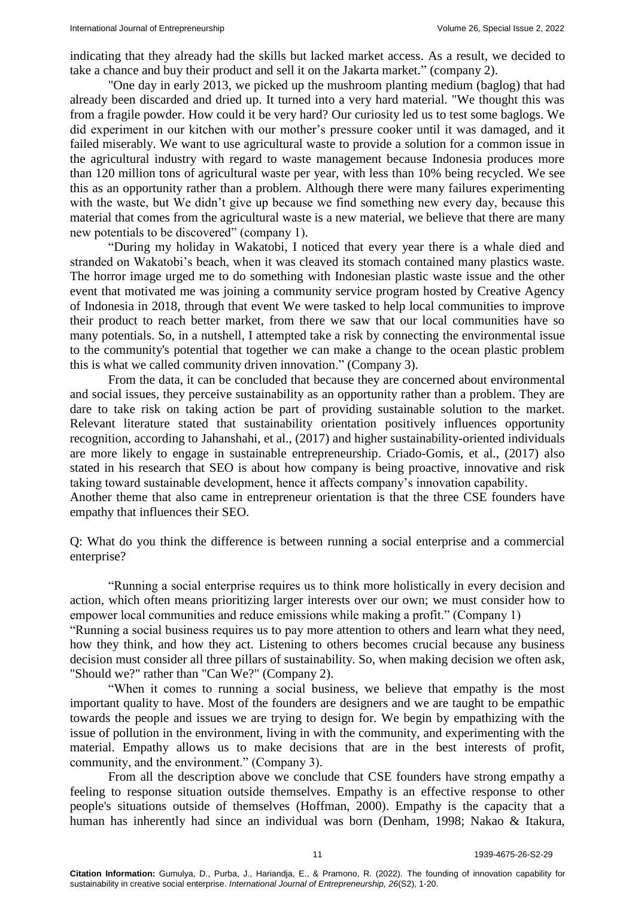indicating that they already had the skills but lacked market access. As a result, we decided to take a chance and buy their product and sell it on the Jakarta market." (company 2).

"One day in early 2013, we picked up the mushroom planting medium (baglog) that had already been discarded and dried up. It turned into a very hard material. "We thought this was from a fragile powder. How could it be very hard? Our curiosity led us to test some baglogs. We did experiment in our kitchen with our mother's pressure cooker until it was damaged, and it failed miserably. We want to use agricultural waste to provide a solution for a common issue in the agricultural industry with regard to waste management because Indonesia produces more than 120 million tons of agricultural waste per year, with less than 10% being recycled. We see this as an opportunity rather than a problem. Although there were many failures experimenting with the waste, but We didn't give up because we find something new every day, because this material that comes from the agricultural waste is a new material, we believe that there are many new potentials to be discovered" (company 1).

"During my holiday in Wakatobi, I noticed that every year there is a whale died and stranded on Wakatobi's beach, when it was cleaved its stomach contained many plastics waste. The horror image urged me to do something with Indonesian plastic waste issue and the other event that motivated me was joining a community service program hosted by Creative Agency of Indonesia in 2018, through that event We were tasked to help local communities to improve their product to reach better market, from there we saw that our local communities have so many potentials. So, in a nutshell, I attempted take a risk by connecting the environmental issue to the community's potential that together we can make a change to the ocean plastic problem this is what we called community driven innovation." (Company 3).

From the data, it can be concluded that because they are concerned about environmental and social issues, they perceive sustainability as an opportunity rather than a problem. They are dare to take risk on taking action be part of providing sustainable solution to the market. Relevant literature stated that sustainability orientation positively influences opportunity recognition, according to Jahanshahi, et al., (2017) and higher sustainability-oriented individuals are more likely to engage in sustainable entrepreneurship. Criado-Gomis, et al., (2017) also stated in his research that SEO is about how company is being proactive, innovative and risk taking toward sustainable development, hence it affects company's innovation capability. Another theme that also came in entrepreneur orientation is that the three CSE founders have

empathy that influences their SEO.

Q: What do you think the difference is between running a social enterprise and a commercial enterprise?

"Running a social enterprise requires us to think more holistically in every decision and action, which often means prioritizing larger interests over our own; we must consider how to empower local communities and reduce emissions while making a profit." (Company 1) "Running a social business requires us to pay more attention to others and learn what they need, how they think, and how they act. Listening to others becomes crucial because any business decision must consider all three pillars of sustainability. So, when making decision we often ask, "Should we?" rather than "Can We?" (Company 2).

"When it comes to running a social business, we believe that empathy is the most important quality to have. Most of the founders are designers and we are taught to be empathic towards the people and issues we are trying to design for. We begin by empathizing with the issue of pollution in the environment, living in with the community, and experimenting with the material. Empathy allows us to make decisions that are in the best interests of profit, community, and the environment." (Company 3).

From all the description above we conclude that CSE founders have strong empathy a feeling to response situation outside themselves. Empathy is an effective response to other people's situations outside of themselves (Hoffman, 2000). Empathy is the capacity that a human has inherently had since an individual was born (Denham, 1998; Nakao & Itakura,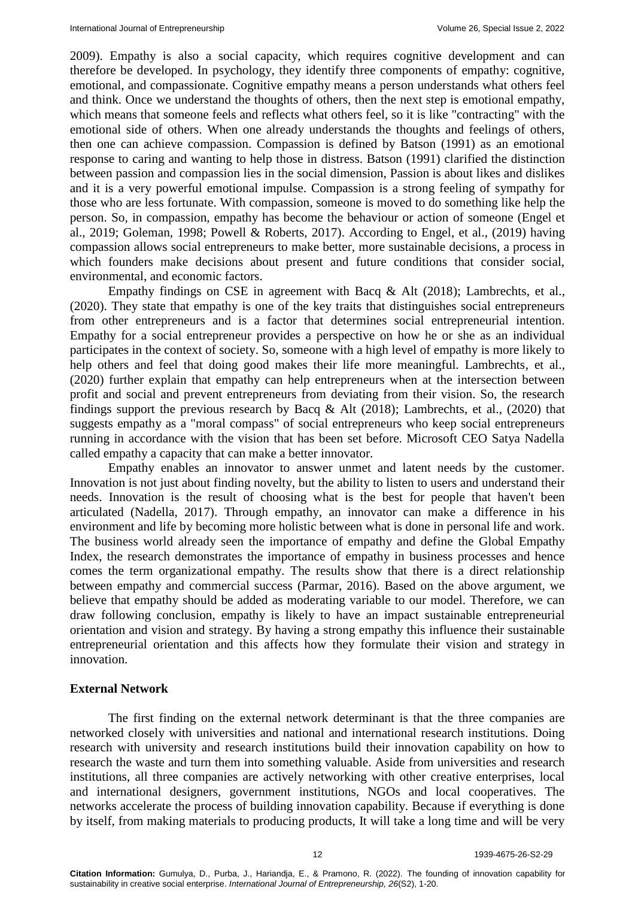2009). Empathy is also a social capacity, which requires cognitive development and can therefore be developed. In psychology, they identify three components of empathy: cognitive, emotional, and compassionate. Cognitive empathy means a person understands what others feel and think. Once we understand the thoughts of others, then the next step is emotional empathy, which means that someone feels and reflects what others feel, so it is like "contracting" with the emotional side of others. When one already understands the thoughts and feelings of others, then one can achieve compassion. Compassion is defined by Batson (1991) as an emotional response to caring and wanting to help those in distress. Batson (1991) clarified the distinction between passion and compassion lies in the social dimension, Passion is about likes and dislikes and it is a very powerful emotional impulse. Compassion is a strong feeling of sympathy for those who are less fortunate. With compassion, someone is moved to do something like help the person. So, in compassion, empathy has become the behaviour or action of someone (Engel et al., 2019; Goleman, 1998; Powell & Roberts, 2017). According to Engel, et al., (2019) having compassion allows social entrepreneurs to make better, more sustainable decisions, a process in which founders make decisions about present and future conditions that consider social, environmental, and economic factors.

Empathy findings on CSE in agreement with Bacq & Alt (2018); Lambrechts, et al., (2020). They state that empathy is one of the key traits that distinguishes social entrepreneurs from other entrepreneurs and is a factor that determines social entrepreneurial intention. Empathy for a social entrepreneur provides a perspective on how he or she as an individual participates in the context of society. So, someone with a high level of empathy is more likely to help others and feel that doing good makes their life more meaningful. Lambrechts, et al., (2020) further explain that empathy can help entrepreneurs when at the intersection between profit and social and prevent entrepreneurs from deviating from their vision. So, the research findings support the previous research by Bacq & Alt (2018); Lambrechts, et al., (2020) that suggests empathy as a "moral compass" of social entrepreneurs who keep social entrepreneurs running in accordance with the vision that has been set before. Microsoft CEO Satya Nadella called empathy a capacity that can make a better innovator.

Empathy enables an innovator to answer unmet and latent needs by the customer. Innovation is not just about finding novelty, but the ability to listen to users and understand their needs. Innovation is the result of choosing what is the best for people that haven't been articulated (Nadella, 2017). Through empathy, an innovator can make a difference in his environment and life by becoming more holistic between what is done in personal life and work. The business world already seen the importance of empathy and define the Global Empathy Index, the research demonstrates the importance of empathy in business processes and hence comes the term organizational empathy. The results show that there is a direct relationship between empathy and commercial success (Parmar, 2016). Based on the above argument, we believe that empathy should be added as moderating variable to our model. Therefore, we can draw following conclusion, empathy is likely to have an impact sustainable entrepreneurial orientation and vision and strategy. By having a strong empathy this influence their sustainable entrepreneurial orientation and this affects how they formulate their vision and strategy in innovation.

#### **External Network**

The first finding on the external network determinant is that the three companies are networked closely with universities and national and international research institutions. Doing research with university and research institutions build their innovation capability on how to research the waste and turn them into something valuable. Aside from universities and research institutions, all three companies are actively networking with other creative enterprises, local and international designers, government institutions, NGOs and local cooperatives. The networks accelerate the process of building innovation capability. Because if everything is done by itself, from making materials to producing products, It will take a long time and will be very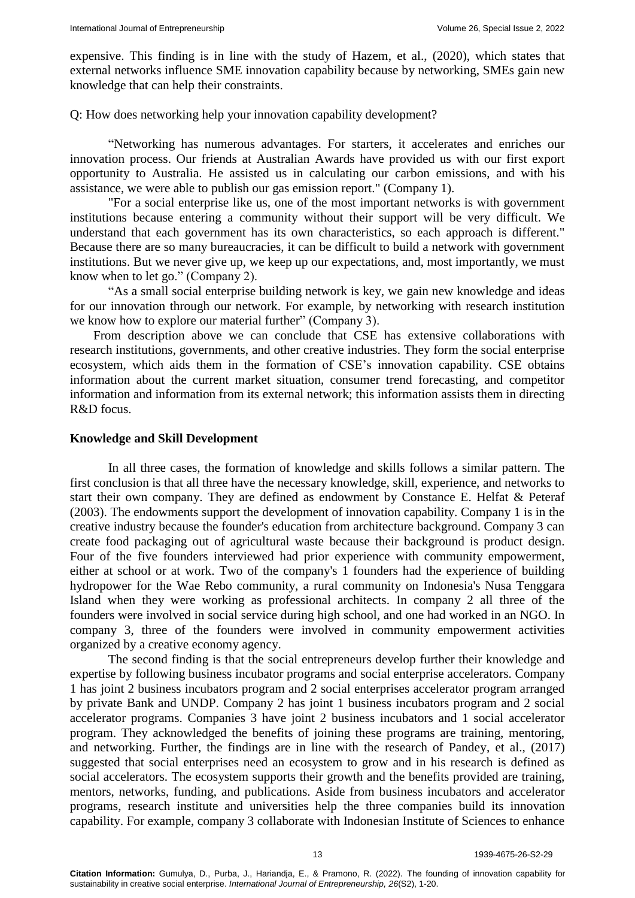expensive. This finding is in line with the study of Hazem, et al., (2020), which states that external networks influence SME innovation capability because by networking, SMEs gain new knowledge that can help their constraints.

Q: How does networking help your innovation capability development?

"Networking has numerous advantages. For starters, it accelerates and enriches our innovation process. Our friends at Australian Awards have provided us with our first export opportunity to Australia. He assisted us in calculating our carbon emissions, and with his assistance, we were able to publish our gas emission report." (Company 1).

"For a social enterprise like us, one of the most important networks is with government institutions because entering a community without their support will be very difficult. We understand that each government has its own characteristics, so each approach is different." Because there are so many bureaucracies, it can be difficult to build a network with government institutions. But we never give up, we keep up our expectations, and, most importantly, we must know when to let go." (Company 2).

"As a small social enterprise building network is key, we gain new knowledge and ideas for our innovation through our network. For example, by networking with research institution we know how to explore our material further" (Company 3).

From description above we can conclude that CSE has extensive collaborations with research institutions, governments, and other creative industries. They form the social enterprise ecosystem, which aids them in the formation of CSE's innovation capability. CSE obtains information about the current market situation, consumer trend forecasting, and competitor information and information from its external network; this information assists them in directing R&D focus.

## **Knowledge and Skill Development**

In all three cases, the formation of knowledge and skills follows a similar pattern. The first conclusion is that all three have the necessary knowledge, skill, experience, and networks to start their own company. They are defined as endowment by Constance E. Helfat & Peteraf (2003). The endowments support the development of innovation capability. Company 1 is in the creative industry because the founder's education from architecture background. Company 3 can create food packaging out of agricultural waste because their background is product design. Four of the five founders interviewed had prior experience with community empowerment, either at school or at work. Two of the company's 1 founders had the experience of building hydropower for the Wae Rebo community, a rural community on Indonesia's Nusa Tenggara Island when they were working as professional architects. In company 2 all three of the founders were involved in social service during high school, and one had worked in an NGO. In company 3, three of the founders were involved in community empowerment activities organized by a creative economy agency.

The second finding is that the social entrepreneurs develop further their knowledge and expertise by following business incubator programs and social enterprise accelerators. Company 1 has joint 2 business incubators program and 2 social enterprises accelerator program arranged by private Bank and UNDP. Company 2 has joint 1 business incubators program and 2 social accelerator programs. Companies 3 have joint 2 business incubators and 1 social accelerator program. They acknowledged the benefits of joining these programs are training, mentoring, and networking. Further, the findings are in line with the research of Pandey, et al., (2017) suggested that social enterprises need an ecosystem to grow and in his research is defined as social accelerators. The ecosystem supports their growth and the benefits provided are training, mentors, networks, funding, and publications. Aside from business incubators and accelerator programs, research institute and universities help the three companies build its innovation capability. For example, company 3 collaborate with Indonesian Institute of Sciences to enhance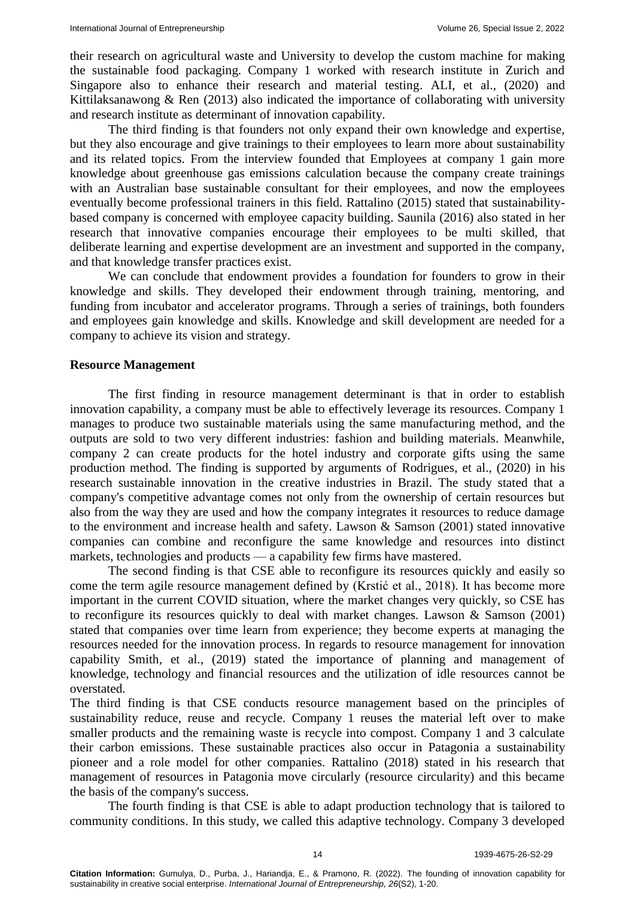their research on agricultural waste and University to develop the custom machine for making the sustainable food packaging. Company 1 worked with research institute in Zurich and Singapore also to enhance their research and material testing. ALI, et al., (2020) and Kittilaksanawong & Ren (2013) also indicated the importance of collaborating with university and research institute as determinant of innovation capability.

The third finding is that founders not only expand their own knowledge and expertise, but they also encourage and give trainings to their employees to learn more about sustainability and its related topics. From the interview founded that Employees at company 1 gain more knowledge about greenhouse gas emissions calculation because the company create trainings with an Australian base sustainable consultant for their employees, and now the employees eventually become professional trainers in this field. Rattalino (2015) stated that sustainabilitybased company is concerned with employee capacity building. Saunila (2016) also stated in her research that innovative companies encourage their employees to be multi skilled, that deliberate learning and expertise development are an investment and supported in the company, and that knowledge transfer practices exist.

We can conclude that endowment provides a foundation for founders to grow in their knowledge and skills. They developed their endowment through training, mentoring, and funding from incubator and accelerator programs. Through a series of trainings, both founders and employees gain knowledge and skills. Knowledge and skill development are needed for a company to achieve its vision and strategy.

#### **Resource Management**

The first finding in resource management determinant is that in order to establish innovation capability, a company must be able to effectively leverage its resources. Company 1 manages to produce two sustainable materials using the same manufacturing method, and the outputs are sold to two very different industries: fashion and building materials. Meanwhile, company 2 can create products for the hotel industry and corporate gifts using the same production method. The finding is supported by arguments of Rodrigues, et al., (2020) in his research sustainable innovation in the creative industries in Brazil. The study stated that a company's competitive advantage comes not only from the ownership of certain resources but also from the way they are used and how the company integrates it resources to reduce damage to the environment and increase health and safety. Lawson & Samson (2001) stated innovative companies can combine and reconfigure the same knowledge and resources into distinct markets, technologies and products — a capability few firms have mastered.

The second finding is that CSE able to reconfigure its resources quickly and easily so come the term agile resource management defined by (Krstić et al., 2018). It has become more important in the current COVID situation, where the market changes very quickly, so CSE has to reconfigure its resources quickly to deal with market changes. Lawson & Samson (2001) stated that companies over time learn from experience; they become experts at managing the resources needed for the innovation process. In regards to resource management for innovation capability Smith, et al., (2019) stated the importance of planning and management of knowledge, technology and financial resources and the utilization of idle resources cannot be overstated.

The third finding is that CSE conducts resource management based on the principles of sustainability reduce, reuse and recycle. Company 1 reuses the material left over to make smaller products and the remaining waste is recycle into compost. Company 1 and 3 calculate their carbon emissions. These sustainable practices also occur in Patagonia a sustainability pioneer and a role model for other companies. Rattalino (2018) stated in his research that management of resources in Patagonia move circularly (resource circularity) and this became the basis of the company's success.

The fourth finding is that CSE is able to adapt production technology that is tailored to community conditions. In this study, we called this adaptive technology. Company 3 developed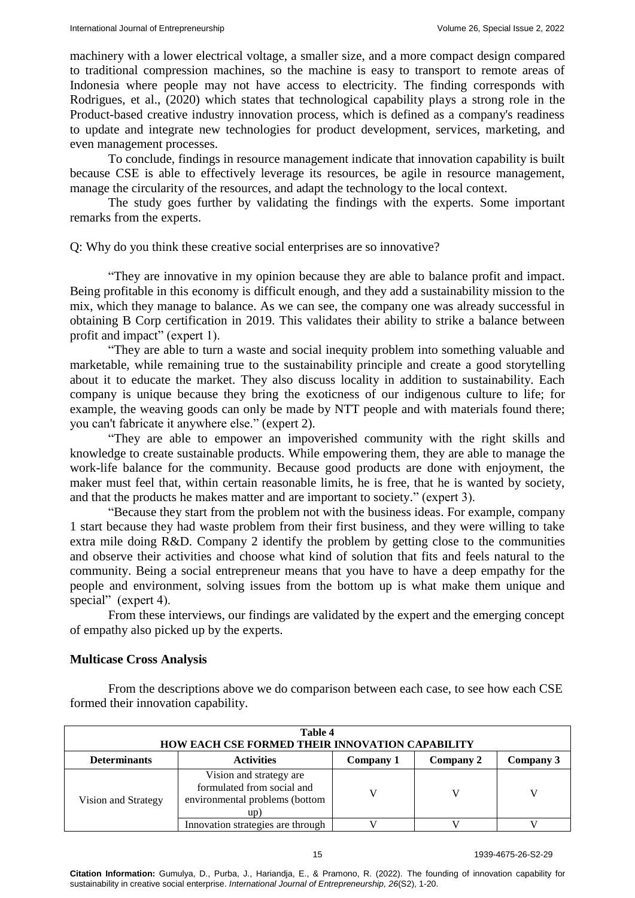machinery with a lower electrical voltage, a smaller size, and a more compact design compared to traditional compression machines, so the machine is easy to transport to remote areas of Indonesia where people may not have access to electricity. The finding corresponds with Rodrigues, et al., (2020) which states that technological capability plays a strong role in the Product-based creative industry innovation process, which is defined as a company's readiness to update and integrate new technologies for product development, services, marketing, and even management processes.

To conclude, findings in resource management indicate that innovation capability is built because CSE is able to effectively leverage its resources, be agile in resource management, manage the circularity of the resources, and adapt the technology to the local context.

The study goes further by validating the findings with the experts. Some important remarks from the experts.

#### Q: Why do you think these creative social enterprises are so innovative?

"They are innovative in my opinion because they are able to balance profit and impact. Being profitable in this economy is difficult enough, and they add a sustainability mission to the mix, which they manage to balance. As we can see, the company one was already successful in obtaining B Corp certification in 2019. This validates their ability to strike a balance between profit and impact" (expert 1).

"They are able to turn a waste and social inequity problem into something valuable and marketable, while remaining true to the sustainability principle and create a good storytelling about it to educate the market. They also discuss locality in addition to sustainability. Each company is unique because they bring the exoticness of our indigenous culture to life; for example, the weaving goods can only be made by NTT people and with materials found there; you can't fabricate it anywhere else." (expert 2).

"They are able to empower an impoverished community with the right skills and knowledge to create sustainable products. While empowering them, they are able to manage the work-life balance for the community. Because good products are done with enjoyment, the maker must feel that, within certain reasonable limits, he is free, that he is wanted by society, and that the products he makes matter and are important to society." (expert 3).

"Because they start from the problem not with the business ideas. For example, company 1 start because they had waste problem from their first business, and they were willing to take extra mile doing R&D. Company 2 identify the problem by getting close to the communities and observe their activities and choose what kind of solution that fits and feels natural to the community. Being a social entrepreneur means that you have to have a deep empathy for the people and environment, solving issues from the bottom up is what make them unique and special" (expert 4).

From these interviews, our findings are validated by the expert and the emerging concept of empathy also picked up by the experts.

### **Multicase Cross Analysis**

From the descriptions above we do comparison between each case, to see how each CSE formed their innovation capability.

| Table 4<br>HOW EACH CSE FORMED THEIR INNOVATION CAPABILITY |                                                                                                |           |           |  |
|------------------------------------------------------------|------------------------------------------------------------------------------------------------|-----------|-----------|--|
| <b>Determinants</b>                                        | <b>Activities</b>                                                                              | Company 2 | Company 3 |  |
| Vision and Strategy                                        | Vision and strategy are<br>formulated from social and<br>environmental problems (bottom<br>up) |           |           |  |
|                                                            | Innovation strategies are through                                                              |           |           |  |

**Citation Information:** Gumulya, D., Purba, J., Hariandja, E., & Pramono, R. (2022). The founding of innovation capability for sustainability in creative social enterprise. *International Journal of Entrepreneurship, 26*(S2), 1-20.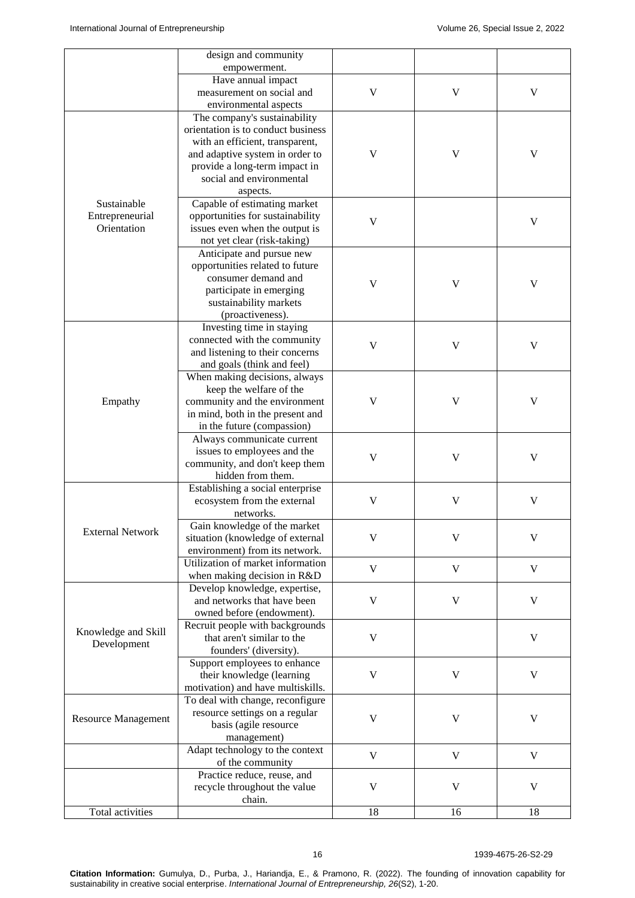|                                | design and community                                             |             |             |             |
|--------------------------------|------------------------------------------------------------------|-------------|-------------|-------------|
|                                | empowerment.                                                     |             |             |             |
|                                | Have annual impact                                               |             | $\mathbf V$ | V           |
|                                | measurement on social and                                        | $\mathbf V$ |             |             |
|                                | environmental aspects                                            |             |             |             |
|                                | The company's sustainability                                     |             |             |             |
|                                | orientation is to conduct business                               |             |             |             |
|                                | with an efficient, transparent,                                  |             |             |             |
|                                | and adaptive system in order to                                  | V           | $\mathbf V$ | V           |
|                                | provide a long-term impact in                                    |             |             |             |
|                                | social and environmental                                         |             |             |             |
| Sustainable                    | aspects.                                                         |             |             |             |
|                                | Capable of estimating market<br>opportunities for sustainability |             |             |             |
| Entrepreneurial<br>Orientation | issues even when the output is                                   | $\mathbf V$ |             | $\mathbf V$ |
|                                |                                                                  |             |             |             |
|                                | not yet clear (risk-taking)<br>Anticipate and pursue new         |             |             |             |
|                                | opportunities related to future                                  |             |             |             |
|                                | consumer demand and                                              |             |             |             |
|                                | participate in emerging                                          | $\mathbf V$ | V           | V           |
|                                | sustainability markets                                           |             |             |             |
|                                | (proactiveness).                                                 |             |             |             |
|                                | Investing time in staying                                        |             |             | V           |
|                                | connected with the community                                     |             |             |             |
|                                | and listening to their concerns                                  | V           | V           |             |
|                                | and goals (think and feel)                                       |             |             |             |
|                                | When making decisions, always                                    |             |             |             |
|                                | keep the welfare of the                                          |             | $\mathbf V$ |             |
| Empathy                        | community and the environment                                    | $\mathbf V$ |             | V           |
|                                | in mind, both in the present and                                 |             |             |             |
|                                | in the future (compassion)                                       |             |             |             |
|                                | Always communicate current                                       |             |             |             |
|                                | issues to employees and the                                      |             | V           |             |
|                                | community, and don't keep them                                   | V           |             | V           |
|                                | hidden from them.                                                |             |             |             |
|                                | Establishing a social enterprise                                 |             |             |             |
|                                | ecosystem from the external                                      | $\mathbf V$ | $\mathbf V$ | V           |
|                                | networks.                                                        |             |             |             |
| <b>External Network</b>        | Gain knowledge of the market                                     |             |             |             |
|                                | situation (knowledge of external                                 | V           | V           | V           |
|                                | environment) from its network.                                   |             |             |             |
|                                | Utilization of market information                                | V           | V           | V           |
|                                | when making decision in R&D                                      |             |             |             |
|                                | Develop knowledge, expertise,                                    |             |             | V           |
|                                | and networks that have been                                      | V           | V           |             |
|                                | owned before (endowment).                                        |             |             |             |
| Knowledge and Skill            | Recruit people with backgrounds                                  |             |             |             |
| Development                    | that aren't similar to the                                       | $\mathbf V$ |             | V           |
|                                | founders' (diversity).                                           |             | $\mathbf V$ |             |
|                                | Support employees to enhance                                     |             |             |             |
|                                | their knowledge (learning                                        | V           |             | V           |
|                                | motivation) and have multiskills.                                |             |             |             |
| <b>Resource Management</b>     | To deal with change, reconfigure                                 |             |             |             |
|                                | resource settings on a regular                                   | V           | V           | V           |
|                                | basis (agile resource                                            |             |             |             |
|                                | management)                                                      |             |             |             |
|                                | Adapt technology to the context                                  | V           | $\mathbf V$ | V           |
|                                | of the community                                                 |             |             |             |
|                                | Practice reduce, reuse, and                                      |             |             |             |
|                                | recycle throughout the value                                     | V           | V           | V           |
|                                | chain.                                                           |             |             |             |
| Total activities               |                                                                  | 18          | 16          | 18          |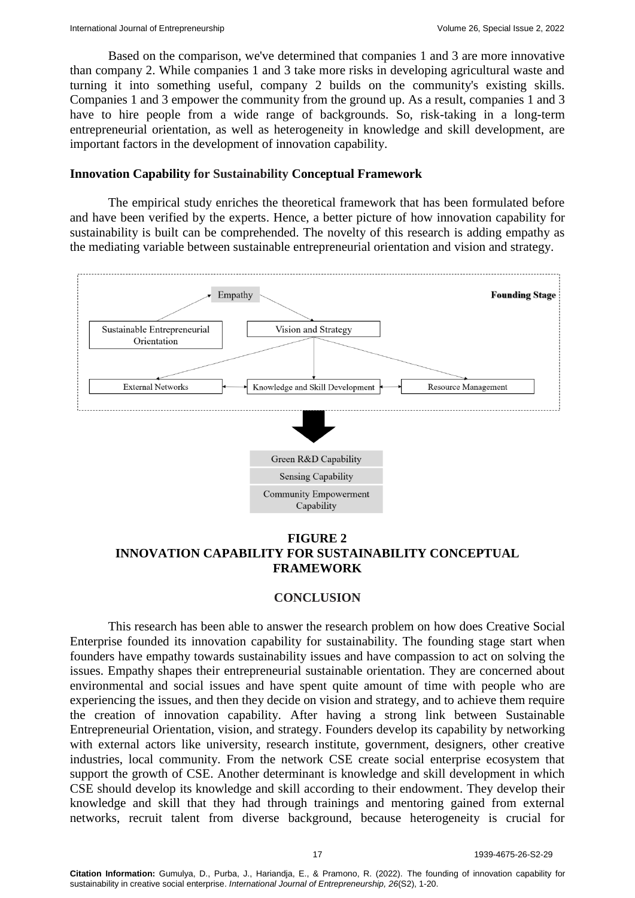Based on the comparison, we've determined that companies 1 and 3 are more innovative than company 2. While companies 1 and 3 take more risks in developing agricultural waste and turning it into something useful, company 2 builds on the community's existing skills. Companies 1 and 3 empower the community from the ground up. As a result, companies 1 and 3 have to hire people from a wide range of backgrounds. So, risk-taking in a long-term entrepreneurial orientation, as well as heterogeneity in knowledge and skill development, are important factors in the development of innovation capability.

#### **Innovation Capability for Sustainability Conceptual Framework**

The empirical study enriches the theoretical framework that has been formulated before and have been verified by the experts. Hence, a better picture of how innovation capability for sustainability is built can be comprehended. The novelty of this research is adding empathy as the mediating variable between sustainable entrepreneurial orientation and vision and strategy.



# **FIGURE 2 INNOVATION CAPABILITY FOR SUSTAINABILITY CONCEPTUAL FRAMEWORK**

# **CONCLUSION**

This research has been able to answer the research problem on how does Creative Social Enterprise founded its innovation capability for sustainability. The founding stage start when founders have empathy towards sustainability issues and have compassion to act on solving the issues. Empathy shapes their entrepreneurial sustainable orientation. They are concerned about environmental and social issues and have spent quite amount of time with people who are experiencing the issues, and then they decide on vision and strategy, and to achieve them require the creation of innovation capability. After having a strong link between Sustainable Entrepreneurial Orientation, vision, and strategy. Founders develop its capability by networking with external actors like university, research institute, government, designers, other creative industries, local community. From the network CSE create social enterprise ecosystem that support the growth of CSE. Another determinant is knowledge and skill development in which CSE should develop its knowledge and skill according to their endowment. They develop their knowledge and skill that they had through trainings and mentoring gained from external networks, recruit talent from diverse background, because heterogeneity is crucial for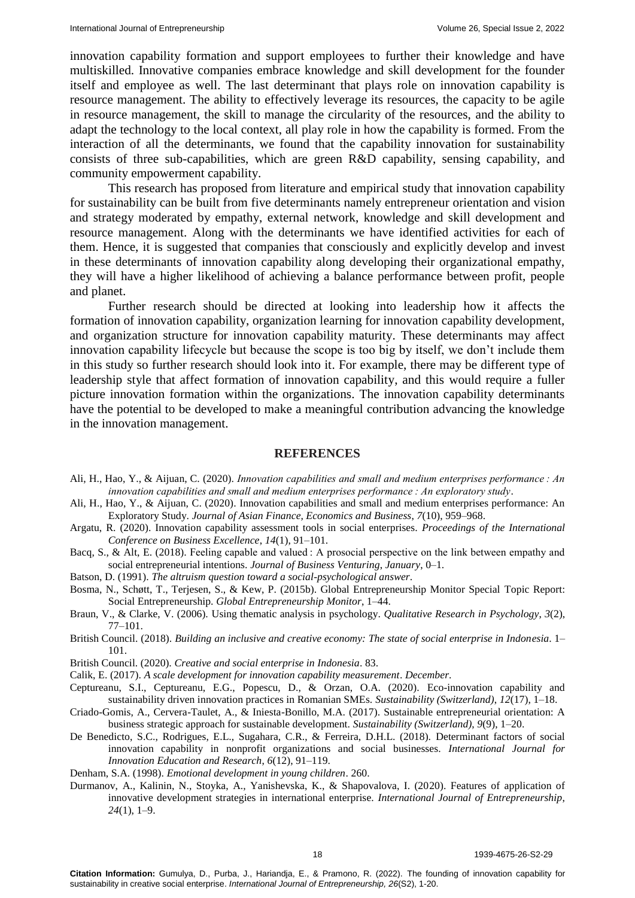innovation capability formation and support employees to further their knowledge and have multiskilled. Innovative companies embrace knowledge and skill development for the founder itself and employee as well. The last determinant that plays role on innovation capability is resource management. The ability to effectively leverage its resources, the capacity to be agile in resource management, the skill to manage the circularity of the resources, and the ability to adapt the technology to the local context, all play role in how the capability is formed. From the interaction of all the determinants, we found that the capability innovation for sustainability consists of three sub-capabilities, which are green R&D capability, sensing capability, and community empowerment capability.

This research has proposed from literature and empirical study that innovation capability for sustainability can be built from five determinants namely entrepreneur orientation and vision and strategy moderated by empathy, external network, knowledge and skill development and resource management. Along with the determinants we have identified activities for each of them. Hence, it is suggested that companies that consciously and explicitly develop and invest in these determinants of innovation capability along developing their organizational empathy, they will have a higher likelihood of achieving a balance performance between profit, people and planet.

Further research should be directed at looking into leadership how it affects the formation of innovation capability, organization learning for innovation capability development, and organization structure for innovation capability maturity. These determinants may affect innovation capability lifecycle but because the scope is too big by itself, we don't include them in this study so further research should look into it. For example, there may be different type of leadership style that affect formation of innovation capability, and this would require a fuller picture innovation formation within the organizations. The innovation capability determinants have the potential to be developed to make a meaningful contribution advancing the knowledge in the innovation management.

#### **REFERENCES**

- Ali, H., Hao, Y., & Aijuan, C. (2020). *Innovation capabilities and small and medium enterprises performance : An innovation capabilities and small and medium enterprises performance : An exploratory study*.
- Ali, H., Hao, Y., & Aijuan, C. (2020). [Innovation capabilities and small and medium enterprises performance: An](https://www.koreascience.or.kr/article/JAKO202029062616815.view?orgId=kodisa)  [Exploratory Study.](https://www.koreascience.or.kr/article/JAKO202029062616815.view?orgId=kodisa) *Journal of Asian Finance, Economics and Business*, *7*(10), 959–968.
- Argatu, R. (2020). [Innovation capability assessment tools in social enterprises.](https://ideas.repec.org/a/vrs/poicbe/v14y2020i1p91-101n10.html) *Proceedings of the International Conference on Business Excellence*, *14*(1), 91–101.
- Bacq, S., & Alt, E. (2018). [Feeling capable and valued : A prosocial perspective on the link between empathy and](https://www.sciencedirect.com/science/article/abs/pii/S0883902617300745#:~:text=Both%20cognitive%20(perspective%2Dtaking),indirectly%20affect%20social%20entrepreneurial%20intentions.&text=Affective%20empathy%20influences%20social%20entrepreneurial%20intentions%20through%20self%2Defficacy.&text=Cognitive%20empathy%20influences)  [social entrepreneurial intentions.](https://www.sciencedirect.com/science/article/abs/pii/S0883902617300745#:~:text=Both%20cognitive%20(perspective%2Dtaking),indirectly%20affect%20social%20entrepreneurial%20intentions.&text=Affective%20empathy%20influences%20social%20entrepreneurial%20intentions%20through%20self%2Defficacy.&text=Cognitive%20empathy%20influences) *Journal of Business Venturing*, *January*, 0–1.
- Batson, D. (1991). *[The altruism question toward a social-psychological answer](https://psycnet.apa.org/record/1991-98405-000)*.
- Bosma, N., Schøtt, T., Terjesen, S., & Kew, P. (2015b). Global Entrepreneurship Monitor Special Topic Report: Social Entrepreneurship. *Global Entrepreneurship Monitor*, 1–44.
- Braun, V., & Clarke, V. (2006). [Using thematic analysis in psychology.](https://www.tandfonline.com/doi/abs/10.1191/1478088706qp063oa) *Qualitative Research in Psychology*, *3*(2), 77–101.
- British Council. (2018). *[Building an inclusive and creative economy: The state of social enterprise in Indonesia](https://www.unescap.org/resources/building-inclusive-and-creative-economy-state-social-enterprise-indonesia)*. 1– 101.
- British Council. (2020). *Creative and social enterprise in Indonesia*. 83.
- Calik, E. (2017). *[A scale development for innovation capability measurement](http://www.joams.com/uploadfile/2017/0510/20170510044133926.pdf)*. *December*.
- Ceptureanu, S.I., Ceptureanu, E.G., Popescu, D., & Orzan, O.A. (2020). [Eco-innovation capability and](https://www.mdpi.com/2071-1050/12/17/7106)  [sustainability driven innovation practices in Romanian SMEs.](https://www.mdpi.com/2071-1050/12/17/7106) *Sustainability (Switzerland)*, *12*(17), 1–18.
- Criado-Gomis, A., Cervera-Taulet, A., & Iniesta-Bonillo, M.A. (2017). [Sustainable entrepreneurial orientation: A](https://www.mdpi.com/2071-1050/9/9/1667)  [business strategic approach for sustainable development.](https://www.mdpi.com/2071-1050/9/9/1667) *Sustainability (Switzerland)*, *9*(9), 1–20.
- De Benedicto, S.C., Rodrigues, E.L., Sugahara, C.R., & Ferreira, D.H.L. (2018). [Determinant factors of social](https://www.researchgate.net/profile/Eduardo-Rodrigues-10/publication/330154804_Determinant_Factors_of_Social_Innovation_Capability_in_Nonprofit_Organizations_and_Social_Businesses/links/5cdf3c7d92851c4eabaa470c/Determinant-Factors-of-Social-Innovation-Capability-in-Nonprofit-Organizations-and-Social-Businesses.pdf)  [innovation capability in nonprofit organizations and social businesses.](https://www.researchgate.net/profile/Eduardo-Rodrigues-10/publication/330154804_Determinant_Factors_of_Social_Innovation_Capability_in_Nonprofit_Organizations_and_Social_Businesses/links/5cdf3c7d92851c4eabaa470c/Determinant-Factors-of-Social-Innovation-Capability-in-Nonprofit-Organizations-and-Social-Businesses.pdf) *International Journal for Innovation Education and Research*, *6*(12), 91–119.

Denham, S.A. (1998). *[Emotional development in young children](https://books.google.co.in/books?hl=en&lr=&id=eNZxMsUCoewC&oi=fnd&pg=PA1&dq=Emotional+development+in+young+children&ots=Nyrkny7Cpi&sig=EgrT4PXqYovlfHUDBR2KjIkprGE&redir_esc=y#v=onepage&q=Emotional%20development%20in%20young%20children&f=false)*. 260.

Durmanov, A., Kalinin, N., Stoyka, A., Yanishevska, K., & Shapovalova, I. (2020). [Features of application of](http://31.202.227.167/handle/123456789/123)  [innovative development strategies in international enterprise.](http://31.202.227.167/handle/123456789/123) *International Journal of Entrepreneurship*, *24*(1), 1–9.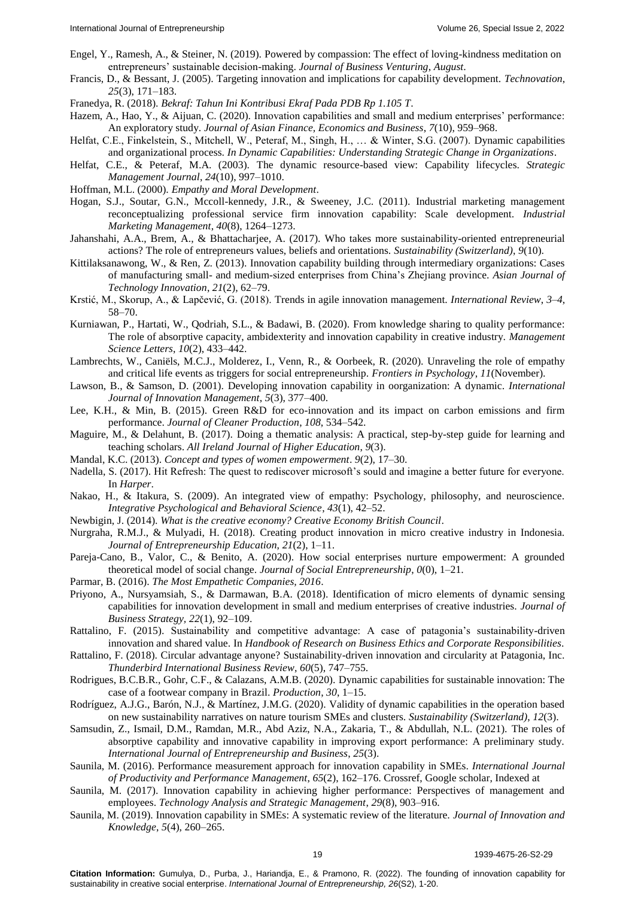- Engel, Y., Ramesh, A., & Steiner, N. (2019). [Powered by compassion: The effect of loving-kindness meditation on](https://www.sciencedirect.com/science/article/abs/pii/S0883902618305767)  [entrepreneurs' sustainable decision-making.](https://www.sciencedirect.com/science/article/abs/pii/S0883902618305767) *Journal of Business Venturing*, *August*.
- Francis, D., & Bessant, J. (2005). [Targeting innovation and implications for capability development.](https://www.sciencedirect.com/science/article/abs/pii/S0166497204000525) *Technovation*, *25*(3), 171–183.
- Franedya, R. (2018). *Bekraf: Tahun Ini Kontribusi Ekraf Pada PDB Rp 1.105 T*.
- Hazem, A., Hao, Y., & Aijuan, C. (2020). [Innovation capabilities and small and medium enterprises' performance:](https://www.koreascience.or.kr/article/JAKO202029062616815.page)  [An exploratory study.](https://www.koreascience.or.kr/article/JAKO202029062616815.page) *Journal of Asian Finance, Economics and Business*, *7*(10), 959–968.
- Helfat, C.E., Finkelstein, S., Mitchell, W., Peteraf, M., Singh, H., … & Winter, S.G. (2007). [Dynamic capabilities](https://books.google.co.in/books?hl=en&lr=&id=u0Tuh5vixLkC&oi=fnd&pg=PR6&dq=Dynamic+capabilities+and+organizational+process.+In+Dynamic+Capabilities:+Understanding+Strategic+Change+in+Organizations&ots=uKm_0_6ouz&sig=1F68W0BCa9nI1ka1r-PanqHCXDI#v=onepage&q=Dynamic%20capabilities%20and%20organizational%20process.%20In%20Dynamic%20Capabilities%3A%20Understanding%20Strategic%20Change%20in%20Organizations&f=false)  [and organizational process.](https://books.google.co.in/books?hl=en&lr=&id=u0Tuh5vixLkC&oi=fnd&pg=PR6&dq=Dynamic+capabilities+and+organizational+process.+In+Dynamic+Capabilities:+Understanding+Strategic+Change+in+Organizations&ots=uKm_0_6ouz&sig=1F68W0BCa9nI1ka1r-PanqHCXDI#v=onepage&q=Dynamic%20capabilities%20and%20organizational%20process.%20In%20Dynamic%20Capabilities%3A%20Understanding%20Strategic%20Change%20in%20Organizations&f=false) *In Dynamic Capabilities: Understanding Strategic Change in Organizations*.
- Helfat, C.E., & Peteraf, M.A. (2003). [The dynamic resource-based view: Capability lifecycles.](https://onlinelibrary.wiley.com/doi/abs/10.1002/smj.332) *Strategic Management Journal*, *24*(10), 997–1010.
- Hoffman, M.L. (2000). *[Empathy and Moral Development](https://www.jstage.jst.go.jp/article/arepj1962/35/0/35_157/_article/-char/ja/)*.
- Hogan, S.J., Soutar, G.N., Mccoll-kennedy, J.R., & Sweeney, J.C. (2011). [Industrial marketing management](https://www.sciencedirect.com/science/article/pii/S0019850111001532)  [reconceptualizing professional service firm innovation capability: Scale development.](https://www.sciencedirect.com/science/article/pii/S0019850111001532) *Industrial Marketing Management*, *40*(8), 1264–1273.
- Jahanshahi, A.A., Brem, A., & Bhattacharjee, A. (2017). [Who takes more sustainability-oriented entrepreneurial](https://opus4.kobv.de/opus4-fau/frontdoor/index/index/docId/9523)  [actions? The role of entrepreneurs values, beliefs and orientations.](https://opus4.kobv.de/opus4-fau/frontdoor/index/index/docId/9523) *Sustainability (Switzerland)*, *9*(10).
- Kittilaksanawong, W., & Ren, Z. (2013). [Innovation capability building through intermediary organizations: Cases](https://www.tandfonline.com/doi/abs/10.1080/19761597.2013.819247)  of manufacturing small- [and medium-sized enterprises from China's Zhejiang province.](https://www.tandfonline.com/doi/abs/10.1080/19761597.2013.819247) *Asian Journal of Technology Innovation*, *21*(2), 62–79.
- Krstić, M., Skorup, A., & Lapčević, G. (2018). [Trends in agile innovation management.](https://www.ceeol.com/search/article-detail?id=899473) *International Review*, *3*–*4*, 58–70.
- Kurniawan, P., Hartati, W., Qodriah, S.L., & Badawi, B. (2020). [From knowledge sharing to quality performance:](http://m.growingscience.com/beta/msl/3431-from-knowledge-sharing-to-quality-performance-the-role-of-absorptive-capacity-ambidexterity-and-innovation-capability-in-creative-industry.html)  [The role of absorptive capacity, ambidexterity and innovation capability in creative industry.](http://m.growingscience.com/beta/msl/3431-from-knowledge-sharing-to-quality-performance-the-role-of-absorptive-capacity-ambidexterity-and-innovation-capability-in-creative-industry.html) *Management Science Letters*, *10*(2), 433–442.
- Lambrechts, W., Caniëls, M.C.J., Molderez, I., Venn, R., & Oorbeek, R. (2020). [Unraveling the role of empathy](https://www.frontiersin.org/articles/10.3389/fpsyg.2020.579500/full)  [and critical life events as triggers for social entrepreneurship.](https://www.frontiersin.org/articles/10.3389/fpsyg.2020.579500/full) *Frontiers in Psychology*, *11*(November).
- Lawson, B., & Samson, D. (2001). [Developing innovation capability in oorganization: A dynamic.](https://www.worldscientific.com/doi/abs/10.1142/S1363919601000427) *International Journal of Innovation Management*, *5*(3), 377–400.
- Lee, K.H., & Min, B. (2015). [Green R&D for eco-innovation and its impact on carbon emissions and firm](https://www.sciencedirect.com/science/article/abs/pii/S0959652615006939)  [performance.](https://www.sciencedirect.com/science/article/abs/pii/S0959652615006939) *Journal of Cleaner Production*, *108*, 534–542.
- Maguire, M., & Delahunt, B. (2017). [Doing a thematic analysis: A practical, step-by-step guide for learning and](https://www.sciencedirect.com/science/article/abs/pii/S0959652615006939)  [teaching scholars.](https://www.sciencedirect.com/science/article/abs/pii/S0959652615006939) *All Ireland Journal of Higher Education*, *9*(3).
- Mandal, K.C. (2013). *[Concept and types of women empowerment](http://americanscholarspress.us/journals/IFST/pdf/IFOTS-2-2013/IFOTS_v9_n2_art3.pdf)*. *9*(2), 17–30.
- Nadella, S. (2017). [Hit Refresh: The quest to rediscover microsoft's sould and imagine a better future for everyone.](https://www.proquest.com/openview/f6fcaa9bdc7384cafe388ef3b35de9c6/1?pq-origsite=gscholar&cbl=2046370) In *Harper*.
- Nakao, H., & Itakura, S. (2009). [An integrated view of empathy: Psychology, philosophy, and neuroscience.](https://link.springer.com/article/10.1007/s12124-008-9066-7) *Integrative Psychological and Behavioral Science*, *43*(1), 42–52.
- Newbigin, J. (2014). *What is the creative economy? Creative Economy British Council*.
- Nurgraha, R.M.J., & Mulyadi, H. (2018). [Creating product innovation in micro creative industry in Indonesia.](https://www.tandfonline.com/doi/abs/10.1080/19761597.2013.819247) *Journal of Entrepreneurship Education*, *21*(2), 1–11.
- Pareja-Cano, B., Valor, C., & Benito, A. (2020). [How social enterprises nurture empowerment: A grounded](https://www.tandfonline.com/doi/abs/10.1080/19420676.2020.1821753)  [theoretical model of social change.](https://www.tandfonline.com/doi/abs/10.1080/19420676.2020.1821753) *Journal of Social Entrepreneurship*, *0*(0), 1–21.
- Parmar, B. (2016). *[The Most Empathetic Companies, 2016](https://scholar.google.com/scholar?hl=en&as_sdt=0%2C5&scioq=Innovation+capability+building+through+intermediary+organizations%3A+Cases+of+manufacturing+small-+and+medium-sized+enterprises+from+China%E2%80%99s+Zhejiang+province&q=The+Most+Empathetic+Companies&btnG=)*.
- Priyono, A., Nursyamsiah, S., & Darmawan, B.A. (2018). [Identification of micro elements of dynamic sensing](https://www.mdpi.com/2199-8531/6/4/104)  [capabilities for innovation development in small and medium enterprises of creative industries.](https://www.mdpi.com/2199-8531/6/4/104) *Journal of Business Strategy, 22*(1), 92–109.

Rattalino, F. (2015). [Sustainability and competitive advantage: A case of patagonia's sustainability-driven](https://www.igi-global.com/chapter/sustainability-and-competitive-advantage/224827)  [innovation and shared value.](https://www.igi-global.com/chapter/sustainability-and-competitive-advantage/224827) In *Handbook of Research on Business Ethics and Corporate Responsibilities*.

- Rattalino, F. (2018). [Circular advantage anyone? Sustainability-driven innovation and circularity at Patagonia, Inc.](https://onlinelibrary.wiley.com/doi/abs/10.1002/tie.21917) *Thunderbird International Business Review*, *60*(5), 747–755.
- Rodrigues, B.C.B.R., Gohr, C.F., & Calazans, A.M.B. (2020). [Dynamic capabilities for sustainable innovation: The](https://www.scielo.br/j/prod/a/DnRFT6HTcT8L6XzFMkDcCyD/abstract/?lang=en)  [case of a footwear company in Brazil.](https://www.scielo.br/j/prod/a/DnRFT6HTcT8L6XzFMkDcCyD/abstract/?lang=en) *Production*, *30*, 1–15.
- Rodríguez, A.J.G., Barón, N.J., & Martínez, J.M.G. (2020). [Validity of dynamic capabilities in the operation based](https://www.mdpi.com/2071-1050/12/3/1004)  [on new sustainability narratives on nature tourism](https://www.mdpi.com/2071-1050/12/3/1004) SMEs and clusters. *Sustainability (Switzerland)*, *12*(3).
- Samsudin, Z., Ismail, D.M., Ramdan, M.R., Abd Aziz, N.A., Zakaria, T., & Abdullah, N.L. (2021). [The roles of](https://www.proquest.com/openview/1c1040b9a0e1afeae07370aafb375906/1?pq-origsite=gscholar&cbl=29727)  [absorptive capability and innovative capability in improving export performance: A preliminary study.](https://www.proquest.com/openview/1c1040b9a0e1afeae07370aafb375906/1?pq-origsite=gscholar&cbl=29727) *International Journal of Entrepreneurship and Business*, *25*(3).
- Saunila, M. (2016). Performance measurement approach for innovation capability in SMEs. *International Journal of Productivity and Performance Management*, *65*(2), 162–176. Crossref, Google scholar, Indexed at
- Saunila, M. (2017). Innovation [capability in achieving higher performance: Perspectives of management and](https://www.tandfonline.com/doi/abs/10.1080/09537325.2016.1259469)  [employees.](https://www.tandfonline.com/doi/abs/10.1080/09537325.2016.1259469) *Technology Analysis and Strategic Management*, *29*(8), 903–916.
- Saunila, M. (2019). [Innovation capability in SMEs: A systematic review of the literature.](https://www.sciencedirect.com/science/article/pii/S2444569X19300563) *Journal of Innovation and Knowledge*, *5*(4), 260–265.